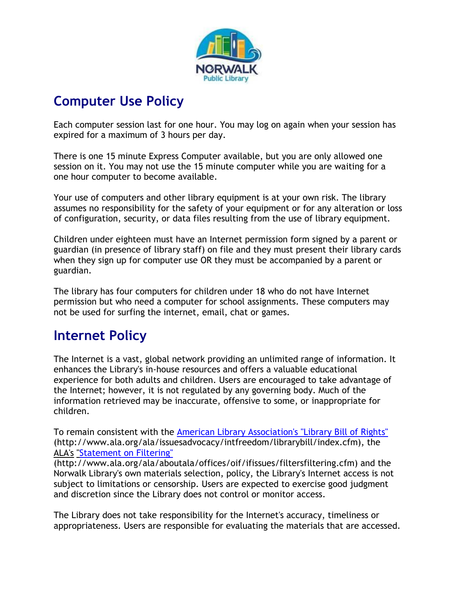

# **Computer Use Policy**

Each computer session last for one hour. You may log on again when your session has expired for a maximum of 3 hours per day.

There is one 15 minute Express Computer available, but you are only allowed one session on it. You may not use the 15 minute computer while you are waiting for a one hour computer to become available.

Your use of computers and other library equipment is at your own risk. The library assumes no responsibility for the safety of your equipment or for any alteration or loss of configuration, security, or data files resulting from the use of library equipment.

Children under eighteen must have an Internet permission form signed by a parent or guardian (in presence of library staff) on file and they must present their library cards when they sign up for computer use OR they must be accompanied by a parent or guardian.

The library has four computers for children under 18 who do not have Internet permission but who need a computer for school assignments. These computers may not be used for surfing the internet, email, chat or games.

## **Internet Policy**

The Internet is a vast, global network providing an unlimited range of information. It enhances the Library's in-house resources and offers a valuable educational experience for both adults and children. Users are encouraged to take advantage of the Internet; however, it is not regulated by any governing body. Much of the information retrieved may be inaccurate, offensive to some, or inappropriate for children.

To remain consistent with the [American Library Association's "Library Bill of Rights"](http://www.ala.org/ala/issuesadvocacy/intfreedom/librarybill/index.cfm) (http://www.ala.org/ala/issuesadvocacy/intfreedom/librarybill/index.cfm), the ALA's ["Statement on Filtering"](http://www.ala.org/ala/aboutala/offices/oif/ifissues/filtersfiltering.cfm) 

(http://www.ala.org/ala/aboutala/offices/oif/ifissues/filtersfiltering.cfm) and the Norwalk Library's own materials selection, policy, the Library's Internet access is not subject to limitations or censorship. Users are expected to exercise good judgment and discretion since the Library does not control or monitor access.

The Library does not take responsibility for the Internet's accuracy, timeliness or appropriateness. Users are responsible for evaluating the materials that are accessed.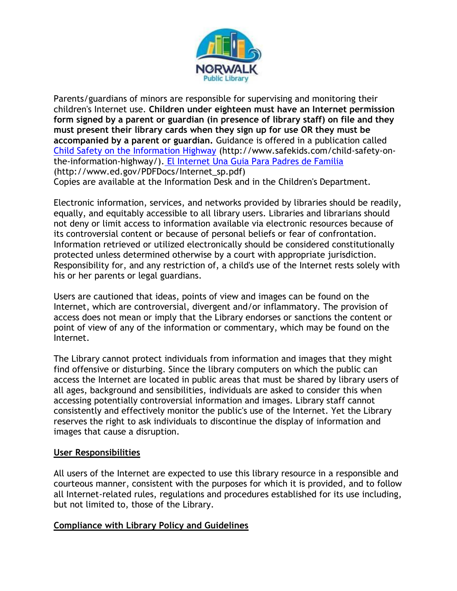

Parents/guardians of minors are responsible for supervising and monitoring their children's Internet use. **Children under eighteen must have an Internet permission form signed by a parent or guardian (in presence of library staff) on file and they must present their library cards when they sign up for use OR they must be accompanied by a parent or guardian.** Guidance is offered in a publication called [Child Safety on the Information Highway](http://www.safekids.com/child-safety-on-the-information-highway/) (http://www.safekids.com/child-safety-onthe-information-highway/). [El Internet Una Guia Para Padres de Familia](http://www.ed.gov/PDFDocs/Internet_sp.pdf) (http://www.ed.gov/PDFDocs/Internet\_sp.pdf) Copies are available at the Information Desk and in the Children's Department.

Electronic information, services, and networks provided by libraries should be readily, equally, and equitably accessible to all library users. Libraries and librarians should not deny or limit access to information available via electronic resources because of its controversial content or because of personal beliefs or fear of confrontation. Information retrieved or utilized electronically should be considered constitutionally protected unless determined otherwise by a court with appropriate jurisdiction. Responsibility for, and any restriction of, a child's use of the Internet rests solely with his or her parents or legal guardians.

Users are cautioned that ideas, points of view and images can be found on the Internet, which are controversial, divergent and/or inflammatory. The provision of access does not mean or imply that the Library endorses or sanctions the content or point of view of any of the information or commentary, which may be found on the Internet.

The Library cannot protect individuals from information and images that they might find offensive or disturbing. Since the library computers on which the public can access the Internet are located in public areas that must be shared by library users of all ages, background and sensibilities, individuals are asked to consider this when accessing potentially controversial information and images. Library staff cannot consistently and effectively monitor the public's use of the Internet. Yet the Library reserves the right to ask individuals to discontinue the display of information and images that cause a disruption.

#### **User Responsibilities**

All users of the Internet are expected to use this library resource in a responsible and courteous manner, consistent with the purposes for which it is provided, and to follow all Internet-related rules, regulations and procedures established for its use including, but not limited to, those of the Library.

#### **Compliance with Library Policy and Guidelines**